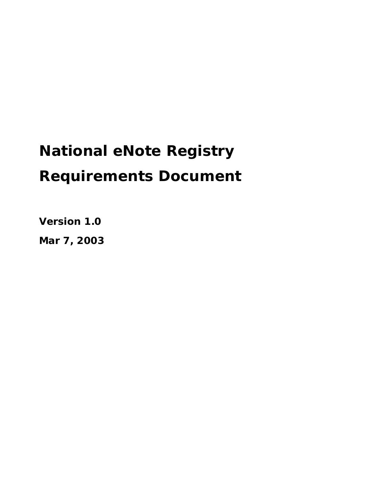# **National eNote Registry Requirements Document**

**Version 1.0 Mar 7, 2003**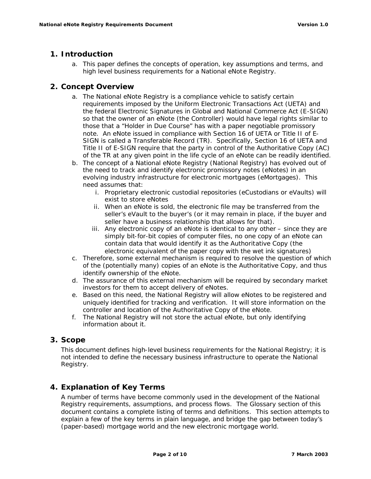## **1. Introduction**

a. This paper defines the concepts of operation, key assumptions and terms, and high level business requirements for a National eNote Registry.

#### **2. Concept Overview**

- a. The National eNote Registry is a compliance vehicle to satisfy certain requirements imposed by the Uniform Electronic Transactions Act (UETA) and the federal Electronic Signatures in Global and National Commerce Act (E-SIGN) so that the owner of an eNote (the Controller) would have legal rights similar to those that a "Holder in Due Course" has with a paper negotiable promissory note. An eNote issued in compliance with Section 16 of UETA or Title II of E-SIGN is called a Transferable Record (TR). Specifically, Section 16 of UETA and Title II of E-SIGN require that the party in control of the Authoritative Copy (AC) of the TR at any given point in the life cycle of an eNote can be readily identified.
- b. The concept of a National eNote Registry (National Registry) has evolved out of the need to track and identify electronic promissory notes (eNotes) in an evolving industry infrastructure for electronic mortgages (eMortgages). This need assumes that:
	- i. Proprietary electronic custodial repositories (eCustodians or eVaults) will exist to store eNotes
	- ii. When an eNote is sold, the electronic file may be transferred from the seller's eVault to the buyer's (or it may remain in place, if the buyer and seller have a business relationship that allows for that).
	- iii. Any electronic copy of an eNote is identical to any other since they are simply bit-for-bit copies of computer files, no one copy of an eNote can contain data that would identify it as the Authoritative Copy (the electronic equivalent of the paper copy with the wet ink signatures)
- c. Therefore, some external mechanism is required to resolve the question of which of the (potentially many) copies of an eNote is the Authoritative Copy, and thus identify ownership of the eNote.
- d. The assurance of this external mechanism will be required by secondary market investors for them to accept delivery of eNotes.
- e. Based on this need, the National Registry will allow eNotes to be registered and uniquely identified for tracking and verification. It will store information on the controller and location of the Authoritative Copy of the eNote.
- f. The National Registry will not store the actual eNote, but only identifying information about it.

#### **3. Scope**

This document defines high-level business requirements for the National Registry; it is not intended to define the necessary business infrastructure to operate the National Registry.

# **4. Explanation of Key Terms**

A number of terms have become commonly used in the development of the National Registry requirements, assumptions, and process flows. The Glossary section of this document contains a complete listing of terms and definitions. This section attempts to explain a few of the key terms in plain language, and bridge the gap between today's (paper-based) mortgage world and the new electronic mortgage world.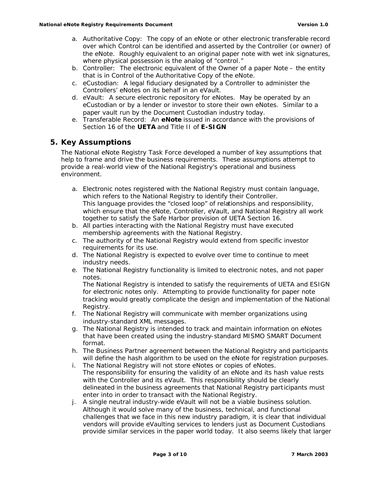- a. Authoritative Copy: The copy of an eNote or other electronic transferable record over which Control can be identified and asserted by the Controller (or owner) of the eNote. Roughly equivalent to an original paper note with wet ink signatures, where physical possession is the analog of "control."
- b. Controller: The electronic equivalent of the Owner of a paper Note the entity that is in Control of the Authoritative Copy of the eNote.
- c. eCustodian: A legal fiduciary designated by a Controller to administer the Controllers' eNotes on its behalf in an eVault.
- d. eVault: A secure electronic repository for eNotes. May be operated by an eCustodian or by a lender or investor to store their own eNotes. Similar to a paper vault run by the Document Custodian industry today.
- e. Transferable Record: An **eNote** issued in accordance with the provisions of Section 16 of the **UETA** and Title II of **E-SIGN**

#### **5. Key Assumptions**

The National eNote Registry Task Force developed a number of key assumptions that help to frame and drive the business requirements. These assumptions attempt to provide a real-world view of the National Registry's operational and business environment.

- a. Electronic notes registered with the National Registry must contain language, which refers to the National Registry to identify their Controller. *This language provides the "closed loop" of relationships and responsibility, which ensure that the eNote, Controller, eVault, and National Registry all work together to satisfy the Safe Harbor provision of UETA Section 16.*
- b. All parties interacting with the National Registry must have executed membership agreements with the National Registry.
- c. The authority of the National Registry would extend from specific investor requirements for its use.
- d. The National Registry is expected to evolve over time to continue to meet industry needs.
- e. The National Registry functionality is limited to electronic notes, and not paper notes.

*The National Registry is intended to satisfy the requirements of UETA and ESIGN for electronic notes only. Attempting to provide functionality for paper note tracking would greatly complicate the design and implementation of the National Registry.*

- f. The National Registry will communicate with member organizations using industry-standard XML messages.
- g. The National Registry is intended to track and maintain information on eNotes that have been created using the industry-standard MISMO SMART Document format.
- h. The Business Partner agreement between the National Registry and participants will define the hash algorithm to be used on the eNote for registration purposes.
- i. The National Registry will not store eNotes or copies of eNotes. *The responsibility for ensuring the validity of an eNote and its hash value rests*  with the Controller and its eVault. This responsibility should be clearly *delineated in the business agreements that National Registry participants must enter into in order to transact with the National Registry.*
- j. A single neutral industry-wide eVault will not be a viable business solution. *Although it would solve many of the business, technical, and functional challenges that we face in this new industry paradigm, it is clear that individual vendors will provide eVaulting services to lenders just as Document Custodians provide similar services in the paper world today. It also seems likely that larger*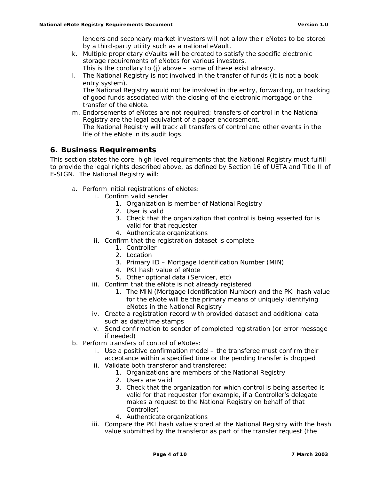*lenders and secondary market investors will not allow their eNotes to be stored by a third-party utility such as a national eVault.* 

- k. Multiple proprietary eVaults will be created to satisfy the specific electronic storage requirements of eNotes for various investors. *This is the corollary to (j) above – some of these exist already.*
- l. The National Registry is not involved in the transfer of funds (it is not a book entry system). *The National Registry would not be involved in the entry, forwarding, or tracking*

*of good funds associated with the closing of the electronic mortgage or the transfer of the eNote.*

m. Endorsements of eNotes are not required; transfers of control in the National Registry are the legal equivalent of a paper endorsement. *The National Registry will track all transfers of control and other events in the life of the eNote in its audit logs.*

#### **6. Business Requirements**

This section states the core, high-level requirements that the National Registry must fulfill to provide the legal rights described above, as defined by Section 16 of UETA and Title II of E-SIGN. The National Registry will:

- a. Perform initial registrations of eNotes:
	- i. Confirm valid sender
		- 1. Organization is member of National Registry
		- 2. User is valid
		- 3. Check that the organization that control is being asserted for is valid for that requester
		- 4. Authenticate organizations
	- ii. Confirm that the registration dataset is complete
		- 1. Controller
		- 2. Location
		- 3. Primary ID Mortgage Identification Number (MIN)
		- 4. PKI hash value of eNote
		- 5. Other optional data (Servicer, etc)
	- iii. Confirm that the eNote is not already registered
		- 1. The MIN (Mortgage Identification Number) and the PKI hash value for the eNote will be the primary means of uniquely identifying eNotes in the National Registry
	- iv. Create a registration record with provided dataset and additional data such as date/time stamps
	- v. Send confirmation to sender of completed registration (or error message if needed)
- b. Perform transfers of control of eNotes:
	- i. Use a positive confirmation model the transferee must confirm their acceptance within a specified time or the pending transfer is dropped
	- ii. Validate both transferor and transferee:
		- 1. Organizations are members of the National Registry
		- 2. Users are valid
		- 3. Check that the organization for which control is being asserted is valid for that requester (for example, if a Controller's delegate makes a request to the National Registry on behalf of that Controller)
		- 4. Authenticate organizations
	- iii. Compare the PKI hash value stored at the National Registry with the hash value submitted by the transferor as part of the transfer request *(the*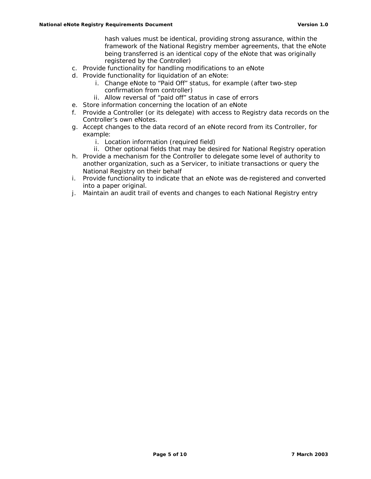*hash values must be identical, providing strong assurance, within the framework of the National Registry member agreements, that the eNote being transferred is an identical copy of the eNote that was originally registered by the Controller)*

- c. Provide functionality for handling modifications to an eNote
- d. Provide functionality for liquidation of an eNote:
	- i. Change eNote to "Paid Off" status, for example (after two-step confirmation from controller)
	- ii. Allow reversal of "paid off" status in case of errors
- e. Store information concerning the location of an eNote
- f. Provide a Controller (or its delegate) with access to Registry data records on the Controller's own eNotes.
- g. Accept changes to the data record of an eNote record from its Controller, for example:
	- i. Location information (required field)
	- ii. Other optional fields that may be desired for National Registry operation
- h. Provide a mechanism for the Controller to delegate some level of authority to another organization, such as a Servicer, to initiate transactions or query the National Registry on their behalf
- i. Provide functionality to indicate that an eNote was de-registered and converted into a paper original.
- j. Maintain an audit trail of events and changes to each National Registry entry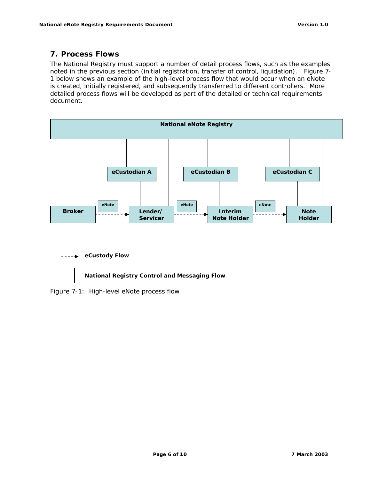## **7. Process Flows**

The National Registry must support a number of detail process flows, such as the examples noted in the previous section (initial registration, transfer of control, liquidation). Figure 7- 1 below shows an example of the high-level process flow that would occur when an eNote is created, initially registered, and subsequently transferred to different controllers. More detailed process flows will be developed as part of the detailed or technical requirements document.



#### **eCustody Flow**  $---$

**National Registry Control and Messaging Flow**

Figure 7-1: High-level eNote process flow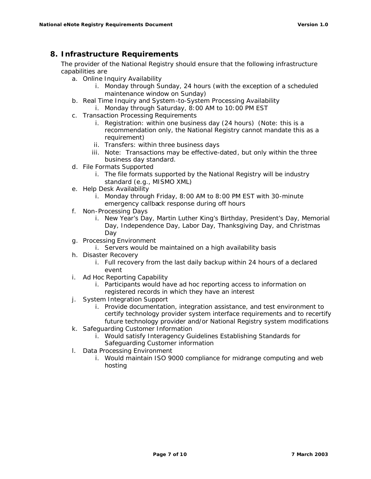## **8. Infrastructure Requirements**

The provider of the National Registry should ensure that the following infrastructure capabilities are

- a. Online Inquiry Availability
	- i. Monday through Sunday, 24 hours (with the exception of a scheduled maintenance window on Sunday)
- b. Real Time Inquiry and System-to-System Processing Availability i. Monday through Saturday, 8:00 AM to 10:00 PM EST
- c. Transaction Processing Requirements
	- i. Registration: within one business day (24 hours) *(Note: this is a recommendation only, the National Registry cannot mandate this as a requirement)*
	- ii. Transfers: within three business days
	- iii. Note: Transactions may be effective-dated, but only within the three business day standard.
- d. File Formats Supported
	- i. The file formats supported by the National Registry will be industry standard (e.g., MISMO XML)
- e. Help Desk Availability
	- i. Monday through Friday, 8:00 AM to 8:00 PM EST with 30-minute emergency callback response during off hours
- f. Non-Processing Days
	- i. New Year's Day, Martin Luther King's Birthday, President's Day, Memorial Day, Independence Day, Labor Day, Thanksgiving Day, and Christmas Day
- g. Processing Environment
	- i. Servers would be maintained on a high availability basis
- h. Disaster Recovery
	- i. Full recovery from the last daily backup within 24 hours of a declared event
- i. Ad Hoc Reporting Capability
	- i. Participants would have ad hoc reporting access to information on registered records in which they have an interest
- j. System Integration Support
	- i. Provide documentation, integration assistance, and test environment to certify technology provider system interface requirements and to recertify future technology provider and/or National Registry system modifications
- k. Safeguarding Customer Information
	- i. Would satisfy Interagency Guidelines Establishing Standards for Safeguarding Customer information
- l. Data Processing Environment
	- i. Would maintain ISO 9000 compliance for midrange computing and web hosting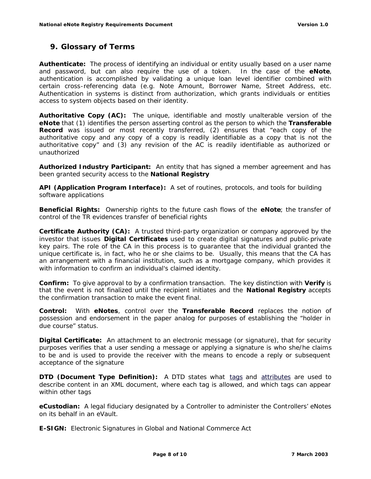#### **9. Glossary of Terms**

**Authenticate:** The process of identifying an individual or entity usually based on a user name and password, but can also require the use of a token. In the case of the **eNote**, authentication is accomplished by validating a unique loan level identifier combined with certain cross-referencing data (e.g. Note Amount, Borrower Name, Street Address, etc. Authentication in systems is distinct from authorization, which grants individuals or entities access to system objects based on their identity.

**Authoritative Copy (AC):** The unique, identifiable and mostly unalterable version of the **eNote** that (1) identifies the person asserting control as *the* person to which the **Transferable Record** was issued or most recently transferred, (2) ensures that "each copy of the authoritative copy and any copy of a copy is readily identifiable as a copy that is not the authoritative copy" and (3) any revision of the AC is readily identifiable as authorized or unauthorized

**Authorized Industry Participant:** An entity that has signed a member agreement and has been granted security access to the **National Registry**

**API (Application Program Interface):** A set of routines, protocols, and tools for building software applications

**Beneficial Rights:** Ownership rights to the future cash flows of the **eNote**; the transfer of control of the TR evidences transfer of beneficial rights

**Certificate Authority (CA):** A trusted third-party organization or company approved by the investor that issues **Digital Certificates** used to create digital signatures and public-private key pairs. The role of the CA in this process is to guarantee that the individual granted the unique certificate is, in fact, who he or she claims to be. Usually, this means that the CA has an arrangement with a financial institution, such as a mortgage company, which provides it with information to confirm an individual's claimed identity.

**Confirm:** To give approval to by a confirmation transaction. The key distinction with **Verify** is that the event is not finalized until the recipient initiates and the **National Registry** accepts the confirmation transaction to make the event final.

**Control:** With **eNotes**, control over the **Transferable Record** replaces the notion of possession and endorsement in the paper analog for purposes of establishing the "holder in due course" status.

**Digital Certificate:** An attachment to an electronic message (or signature), that for security purposes verifies that a user sending a message or applying a signature is who she/he claims to be and is used to provide the receiver with the means to encode a reply or subsequent acceptance of the signature

**DTD (Document Type Definition):** A DTD states what tags and attributes are used to describe content in an XML document, where each tag is allowed, and which tags can appear within other tags

**eCustodian:** A legal fiduciary designated by a Controller to administer the Controllers' eNotes on its behalf in an eVault.

**E-SIGN:** Electronic Signatures in Global and National Commerce Act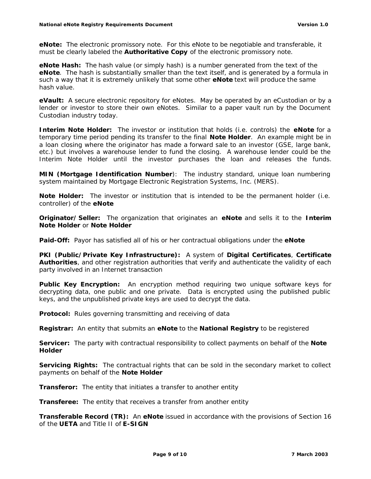**eNote:** The electronic promissory note. For this eNote to be negotiable and transferable, it must be clearly labeled the **Authoritative Copy** of the electronic promissory note.

**eNote Hash:** The hash value (or simply *hash*) is a number generated from the text of the **eNote**. The hash is substantially smaller than the text itself, and is generated by a formula in such a way that it is extremely unlikely that some other **eNote** text will produce the same hash value.

**eVault:** A secure electronic repository for eNotes. May be operated by an eCustodian or by a lender or investor to store their own eNotes. Similar to a paper vault run by the Document Custodian industry today.

**Interim Note Holder:** The investor or institution that holds (i.e. controls) the **eNote** for a temporary time period pending its transfer to the final **Note Holder**. An example might be in a loan closing where the originator has made a forward sale to an investor (GSE, large bank, etc.) but involves a warehouse lender to fund the closing. A warehouse lender could be the Interim Note Holder until the investor purchases the loan and releases the funds.

**MIN (Mortgage Identification Number**): The industry standard, unique loan numbering system maintained by Mortgage Electronic Registration Systems, Inc. (MERS).

**Note Holder:** The investor or institution that is intended to be the permanent holder (i.e. controller) of the **eNote**

**Originator/Seller:** The organization that originates an **eNote** and sells it to the **Interim Note Holder** or **Note Holder**

**Paid-Off:** Payor has satisfied all of his or her contractual obligations under the **eNote**

**PKI (Public/Private Key Infrastructure):** A system of **Digital Certificates**, **Certificate Authorities**, and other registration authorities that verify and authenticate the validity of each party involved in an Internet transaction

**Public Key Encryption:** An encryption method requiring two unique software keys for decrypting data, one public and one private. Data is encrypted using the published public keys, and the unpublished private keys are used to decrypt the data.

**Protocol:** Rules governing transmitting and receiving of data

**Registrar:** An entity that submits an **eNote** to the **National Registry** to be registered

**Servicer:** The party with contractual responsibility to collect payments on behalf of the **Note Holder**

**Servicing Rights:** The contractual rights that can be sold in the secondary market to collect payments on behalf of the **Note Holder**

**Transferor:** The entity that initiates a transfer to another entity

**Transferee:** The entity that receives a transfer from another entity

**Transferable Record (TR):** An **eNote** issued in accordance with the provisions of Section 16 of the **UETA** and Title II of **E-SIGN**